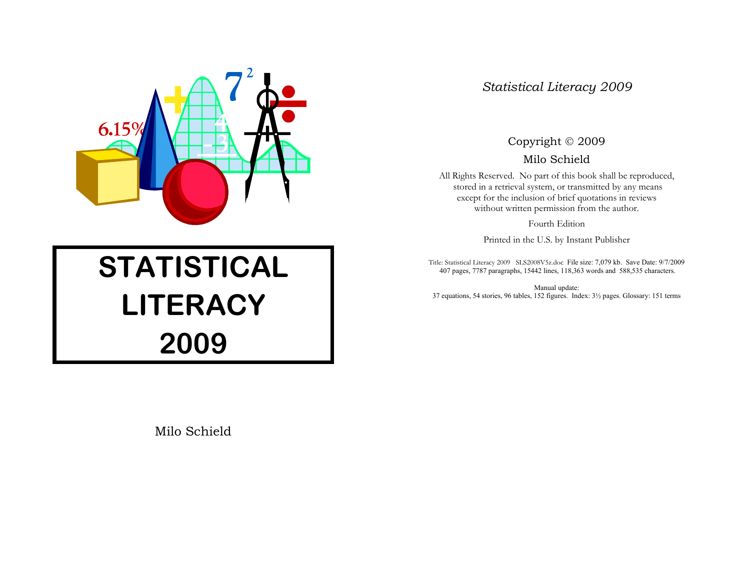

# **STATISTICAL LITERACY 2009**

Milo Schield

# *Statistical Literacy 2009*

# Copyright © 2009

Milo Schield

All Rights Reserved. No part of this book shall be reproduced, stored in a retrieval system, or transmitted by any means except for the inclusion of brief quotations in reviews without written permission from the author.

Fourth Edition

Printed in the U.S. by Instant Publisher

Title: Statistical Literacy 2009 SLS2008V5z.doc File size: 7,079 kb. Save Date: 9/7/2009 407 pages, 7787 paragraphs, 15442 lines, 118,363 words and 588,535 characters.

Manual update: 37 equations, 54 stories, 96 tables, 152 figures. Index: 3½ pages. Glossary: 151 terms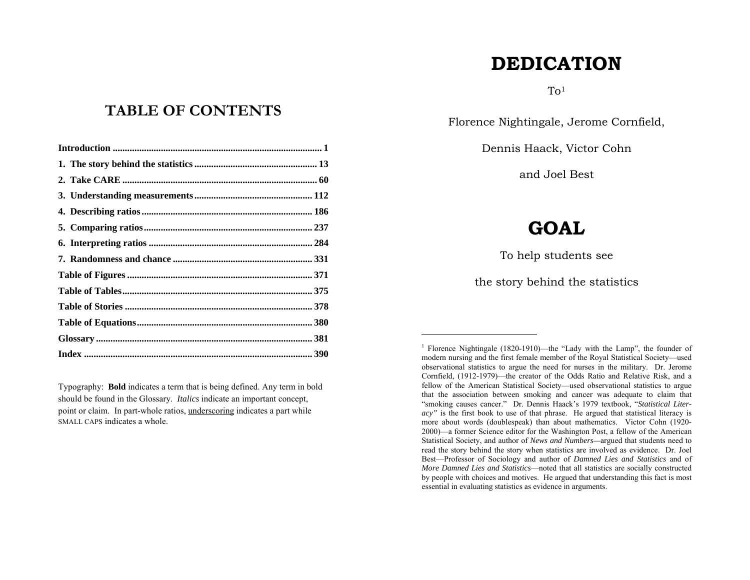# **DEDICATION**

 $To<sup>1</sup>$ 

Florence Nightingale, Jerome Cornfield,

Dennis Haack, Victor Cohn

and Joel Best

# **GOAL**

To help students see

the story behind the statistics

# **TABLE OF CONTENTS**

Typography: **Bold** indicates a term that is being defined. Any term in bold should be found in the Glossary. *Italics* indicate an important concept, point or claim. In part-whole ratios, underscoring indicates a part while SMALL CAPS indicates a whole.

<sup>1</sup> Florence Nightingale (1820-1910)—the "Lady with the Lamp", the founder of modern nursing and the first female member of the Royal Statistical Society—used observational statistics to argue the need for nurses in the military. Dr. Jerome Cornfield, (1912-1979)—the creator of the Odds Ratio and Relative Risk, and a fellow of the American Statistical Society—used observational statistics to argue that the association between smoking and cancer was adequate to claim that "smoking causes cancer." Dr. Dennis Haack's 1979 textbook, "*Statistical Literacy"* is the first book to use of that phrase. He argued that statistical literacy is more about words (doublespeak) than about mathematics. Victor Cohn (1920- 2000)—a former Science editor for the Washington Post, a fellow of the American Statistical Society, and author of *News and Numbers—*argued that students need to read the story behind the story when statistics are involved as evidence. Dr. Joel Best—Professor of Sociology and author of *Damned Lies and Statistics* and of *More Damned Lies and Statistics*—noted that all statistics are socially constructed by people with choices and motives. He argued that understanding this fact is most essential in evaluating statistics as evidence in arguments.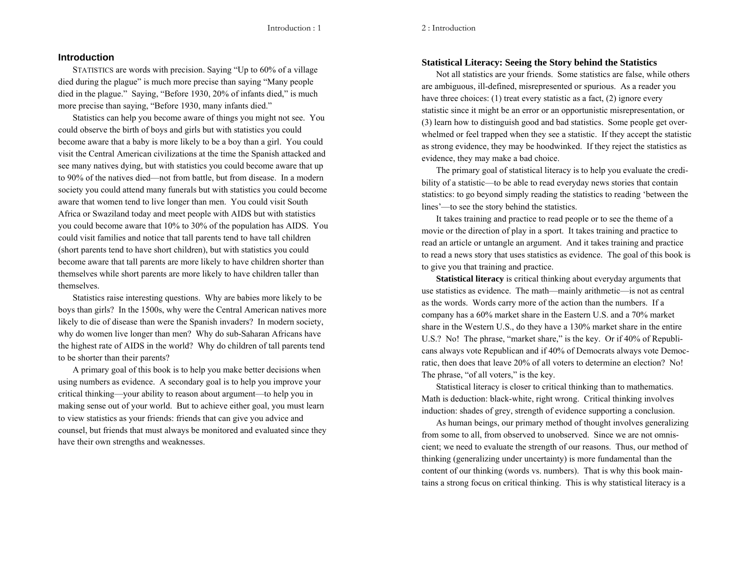#### 2 : Introduction

# **Introduction**

STATISTICS are words with precision. Saying "Up to 60% of a village died during the plague" is much more precise than saying "Many people died in the plague." Saying, "Before 1930, 20% of infants died," is much more precise than saying, "Before 1930, many infants died."

Statistics can help you become aware of things you might not see. You could observe the birth of boys and girls but with statistics you could become aware that a baby is more likely to be a boy than a girl. You could visit the Central American civilizations at the time the Spanish attacked and see many natives dying, but with statistics you could become aware that up to 90% of the natives died—not from battle, but from disease. In a modern society you could attend many funerals but with statistics you could become aware that women tend to live longer than men. You could visit South Africa or Swaziland today and meet people with AIDS but with statistics you could become aware that 10% to 30% of the population has AIDS. You could visit families and notice that tall parents tend to have tall children (short parents tend to have short children), but with statistics you could become aware that tall parents are more likely to have children shorter than themselves while short parents are more likely to have children taller than themselves.

Statistics raise interesting questions. Why are babies more likely to be boys than girls? In the 1500s, why were the Central American natives more likely to die of disease than were the Spanish invaders? In modern society, why do women live longer than men? Why do sub-Saharan Africans have the highest rate of AIDS in the world? Why do children of tall parents tend to be shorter than their parents?

A primary goal of this book is to help you make better decisions when using numbers as evidence. A secondary goal is to help you improve your critical thinking—your ability to reason about argument—to help you in making sense out of your world. But to achieve either goal, you must learn to view statistics as your friends: friends that can give you advice and counsel, but friends that must always be monitored and evaluated since they have their own strengths and weaknesses.

### **Statistical Literacy: Seeing the Story behind the Statistics**

Not all statistics are your friends. Some statistics are false, while others are ambiguous, ill-defined, misrepresented or spurious. As a reader you have three choices: (1) treat every statistic as a fact, (2) ignore every statistic since it might be an error or an opportunistic misrepresentation, or (3) learn how to distinguish good and bad statistics. Some people get overwhelmed or feel trapped when they see a statistic. If they accept the statistic as strong evidence, they may be hoodwinked. If they reject the statistics as evidence, they may make a bad choice.

The primary goal of statistical literacy is to help you evaluate the credibility of a statistic—to be able to read everyday news stories that contain statistics: to go beyond simply reading the statistics to reading 'between the lines'—to see the story behind the statistics.

It takes training and practice to read people or to see the theme of a movie or the direction of play in a sport. It takes training and practice to read an article or untangle an argument. And it takes training and practice to read a news story that uses statistics as evidence. The goal of this book is to give you that training and practice.

**Statistical literacy** is critical thinking about everyday arguments that use statistics as evidence. The math—mainly arithmetic—is not as central as the words. Words carry more of the action than the numbers. If a company has a 60% market share in the Eastern U.S. and a 70% market share in the Western U.S., do they have a 130% market share in the entire U.S.? No! The phrase, "market share," is the key. Or if 40% of Republicans always vote Republican and if 40% of Democrats always vote Democratic, then does that leave 20% of all voters to determine an election? No! The phrase, "of all voters," is the key.

Statistical literacy is closer to critical thinking than to mathematics. Math is deduction: black-white, right wrong. Critical thinking involves induction: shades of grey, strength of evidence supporting a conclusion.

As human beings, our primary method of thought involves generalizing from some to all, from observed to unobserved. Since we are not omniscient; we need to evaluate the strength of our reasons. Thus, our method of thinking (generalizing under uncertainty) is more fundamental than the content of our thinking (words vs. numbers). That is why this book maintains a strong focus on critical thinking. This is why statistical literacy is a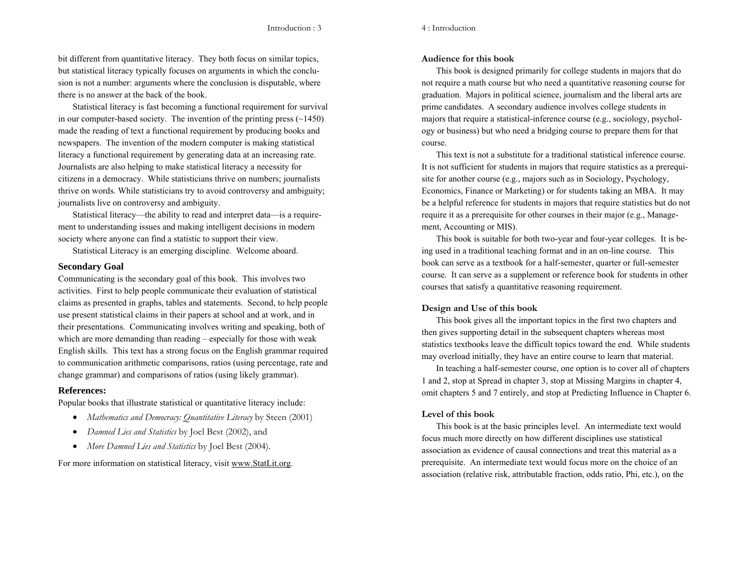4 : Introduction

bit different from quantitative literacy. They both focus on similar topics, but statistical literacy typically focuses on arguments in which the conclusion is not a number: arguments where the conclusion is disputable, where there is no answer at the back of the book.

Statistical literacy is fast becoming a functional requirement for survival in our computer-based society. The invention of the printing press  $(\sim 1450)$ made the reading of text a functional requirement by producing books and newspapers. The invention of the modern computer is making statistical literacy a functional requirement by generating data at an increasing rate. Journalists are also helping to make statistical literacy a necessity for citizens in a democracy. While statisticians thrive on numbers; journalists thrive on words. While statisticians try to avoid controversy and ambiguity; journalists live on controversy and ambiguity.

Statistical literacy—the ability to read and interpret data—is a requirement to understanding issues and making intelligent decisions in modern society where anyone can find a statistic to support their view.

Statistical Literacy is an emerging discipline. Welcome aboard.

# **Secondary Goal**

Communicating is the secondary goal of this book. This involves two activities. First to help people communicate their evaluation of statistical claims as presented in graphs, tables and statements. Second, to help people use present statistical claims in their papers at school and at work, and in their presentations. Communicating involves writing and speaking, both of which are more demanding than reading – especially for those with weak English skills. This text has a strong focus on the English grammar required to communication arithmetic comparisons, ratios (using percentage, rate and change grammar) and comparisons of ratios (using likely grammar).

# **References:**

Popular books that illustrate statistical or quantitative literacy include:

- *Mathematics and Democracy: Quantitative Literacy* by Steen (2001)
- *Damned Lies and Statistics* by Joel Best (2002), and
- *More Damned Lies and Statistics* by Joel Best (2004).

For more information on statistical literacy, visit www.StatLit.org.

# **Audience for this book**

This book is designed primarily for college students in majors that do not require a math course but who need a quantitative reasoning course for graduation. Majors in political science, journalism and the liberal arts are prime candidates. A secondary audience involves college students in majors that require a statistical-inference course (e.g., sociology, psychology or business) but who need a bridging course to prepare them for that course.

This text is not a substitute for a traditional statistical inference course. It is not sufficient for students in majors that require statistics as a prerequisite for another course (e.g., majors such as in Sociology, Psychology, Economics, Finance or Marketing) or for students taking an MBA. It may be a helpful reference for students in majors that require statistics but do not require it as a prerequisite for other courses in their major (e.g., Management, Accounting or MIS).

This book is suitable for both two-year and four-year colleges. It is being used in a traditional teaching format and in an on-line course. This book can serve as a textbook for a half-semester, quarter or full-semester course. It can serve as a supplement or reference book for students in other courses that satisfy a quantitative reasoning requirement.

# **Design and Use of this book**

This book gives all the important topics in the first two chapters and then gives supporting detail in the subsequent chapters whereas most statistics textbooks leave the difficult topics toward the end. While students may overload initially, they have an entire course to learn that material.

In teaching a half-semester course, one option is to cover all of chapters 1 and 2, stop at Spread in chapter 3, stop at Missing Margins in chapter 4, omit chapters 5 and 7 entirely, and stop at Predicting Influence in Chapter 6.

# **Level of this book**

This book is at the basic principles level. An intermediate text would focus much more directly on how different disciplines use statistical association as evidence of causal connections and treat this material as a prerequisite. An intermediate text would focus more on the choice of an association (relative risk, attributable fraction, odds ratio, Phi, etc.), on the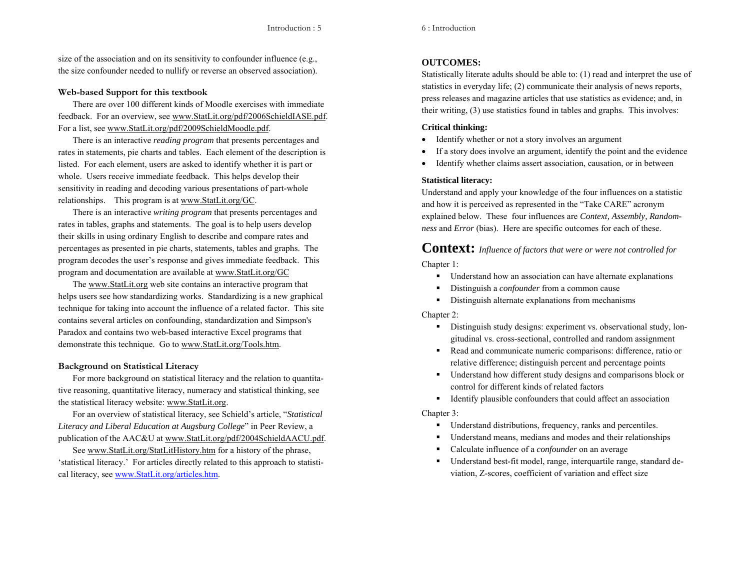size of the association and on its sensitivity to confounder influence (e.g., the size confounder needed to nullify or reverse an observed association).

# **Web-based Support for this textbook**

There are over 100 different kinds of Moodle exercises with immediate feedback. For an overview, see www.StatLit.org/pdf/2006SchieldIASE.pdf. For a list, see www.StatLit.org/pdf/2009SchieldMoodle.pdf.

There is an interactive *reading program* that presents percentages and rates in statements, pie charts and tables. Each element of the description is listed. For each element, users are asked to identify whether it is part or whole. Users receive immediate feedback. This helps develop their sensitivity in reading and decoding various presentations of part-whole relationships. This program is at www.StatLit.org/GC.

There is an interactive *writing program* that presents percentages and rates in tables, graphs and statements. The goal is to help users develop their skills in using ordinary English to describe and compare rates and percentages as presented in pie charts, statements, tables and graphs. The program decodes the user's response and gives immediate feedback. This program and documentation are available at www.StatLit.org/GC

The www.StatLit.org web site contains an interactive program that helps users see how standardizing works. Standardizing is a new graphical technique for taking into account the influence of a related factor. This site contains several articles on confounding, standardization and Simpson's Paradox and contains two web-based interactive Excel programs that demonstrate this technique. Go to www.StatLit.org/Tools.htm.

# **Background on Statistical Literacy**

For more background on statistical literacy and the relation to quantitative reasoning, quantitative literacy, numeracy and statistical thinking, see the statistical literacy website: www.StatLit.org.

For an overview of statistical literacy, see Schield's article, "*Statistical Literacy and Liberal Education at Augsburg College*" in Peer Review, a publication of the AAC&U at www.StatLit.org/pdf/2004SchieldAACU.pdf.

See www.StatLit.org/StatLitHistory.htm for a history of the phrase, 'statistical literacy.' For articles directly related to this approach to statistical literacy, see www.StatLit.org/articles.htm.

# **OUTCOMES:**

Statistically literate adults should be able to: (1) read and interpret the use of statistics in everyday life; (2) communicate their analysis of news reports, press releases and magazine articles that use statistics as evidence; and, in their writing, (3) use statistics found in tables and graphs. This involves:

# **Critical thinking:**

- $\bullet$ Identify whether or not a story involves an argument
- $\bullet$ If a story does involve an argument, identify the point and the evidence
- $\bullet$ Identify whether claims assert association, causation, or in between

# **Statistical literacy:**

Understand and apply your knowledge of the four influences on a statistic and how it is perceived as represented in the "Take CARE" acronym explained below. These four influences are *Context, Assembly, Randomness* and *Error* (bias). Here are specific outcomes for each of these.

# **Context:** *Influence of factors that were or were not controlled for*

Chapter 1:

- Understand how an association can have alternate explanations
- $\blacksquare$ Distinguish a *confounder* from a common cause
- $\blacksquare$ Distinguish alternate explanations from mechanisms

#### Chapter 2:

- Distinguish study designs: experiment vs. observational study, longitudinal vs. cross-sectional, controlled and random assignment
- Read and communicate numeric comparisons: difference, ratio or relative difference; distinguish percent and percentage points
- Understand how different study designs and comparisons block or control for different kinds of related factors
- Identify plausible confounders that could affect an association

#### Chapter 3:

- Understand distributions, frequency, ranks and percentiles.
- Understand means, medians and modes and their relationships
- Calculate influence of a *confounder* on an average
- $\blacksquare$  Understand best-fit model, range, interquartile range, standard deviation, Z-scores, coefficient of variation and effect size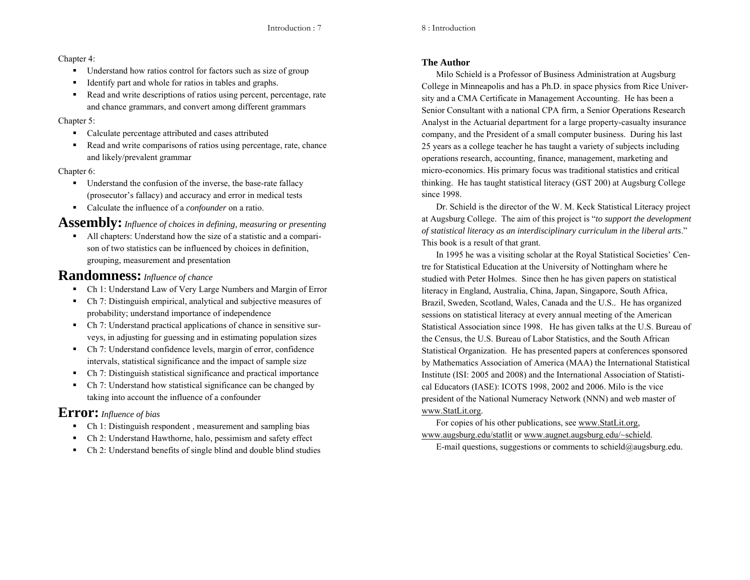# Chapter 4:

- Understand how ratios control for factors such as size of group
- Identify part and whole for ratios in tables and graphs.
- Read and write descriptions of ratios using percent, percentage, rate and chance grammars, and convert among different grammars

# Chapter 5:

- Calculate percentage attributed and cases attributed
- Read and write comparisons of ratios using percentage, rate, chance and likely/prevalent grammar

# Chapter 6:

- Understand the confusion of the inverse, the base-rate fallacy (prosecutor's fallacy) and accuracy and error in medical tests
- Calculate the influence of a *confounder* on a ratio.

**Assembly:***Influence of choices in defining, measuring or presenting*

 All chapters: Understand how the size of a statistic and a comparison of two statistics can be influenced by choices in definition, grouping, measurement and presentation

# **Randomness:***Influence of chance*

- Ch 1: Understand Law of Very Large Numbers and Margin of Error
- Ch 7: Distinguish empirical, analytical and subjective measures of probability; understand importance of independence
- Ch 7: Understand practical applications of chance in sensitive surveys, in adjusting for guessing and in estimating population sizes
- Ch 7: Understand confidence levels, margin of error, confidence intervals, statistical significance and the impact of sample size
- Ch 7: Distinguish statistical significance and practical importance
- Ch 7: Understand how statistical significance can be changed by taking into account the influence of a confounder

# **Error:** *Influence of bias*

- Ch 1: Distinguish respondent, measurement and sampling bias
- Ch 2: Understand Hawthorne, halo, pessimism and safety effect
- Ch 2: Understand benefits of single blind and double blind studies

# **The Author**

Milo Schield is a Professor of Business Administration at Augsburg College in Minneapolis and has a Ph.D. in space physics from Rice University and a CMA Certificate in Management Accounting. He has been a Senior Consultant with a national CPA firm, a Senior Operations Research Analyst in the Actuarial department for a large property-casualty insurance company, and the President of a small computer business. During his last 25 years as a college teacher he has taught a variety of subjects including operations research, accounting, finance, management, marketing and micro-economics. His primary focus was traditional statistics and critical thinking. He has taught statistical literacy (GST 200) at Augsburg College since 1998.

Dr. Schield is the director of the W. M. Keck Statistical Literacy project at Augsburg College. The aim of this project is "*to support the development of statistical literacy as an interdisciplinary curriculum in the liberal arts*." This book is a result of that grant.

In 1995 he was a visiting scholar at the Royal Statistical Societies' Centre for Statistical Education at the University of Nottingham where he studied with Peter Holmes. Since then he has given papers on statistical literacy in England, Australia, China, Japan, Singapore, South Africa, Brazil, Sweden, Scotland, Wales, Canada and the U.S.. He has organized sessions on statistical literacy at every annual meeting of the American Statistical Association since 1998. He has given talks at the U.S. Bureau of the Census, the U.S. Bureau of Labor Statistics, and the South African Statistical Organization. He has presented papers at conferences sponsored by Mathematics Association of America (MAA) the International Statistical Institute (ISI: 2005 and 2008) and the International Association of Statistical Educators (IASE): ICOTS 1998, 2002 and 2006. Milo is the vice president of the National Numeracy Network (NNN) and web master of www.StatLit.org.

For copies of his other publications, see www.StatLit.org, www.augsburg.edu/statlit or www.augnet.augsburg.edu/~schield.

E-mail questions, suggestions or comments to schield@augsburg.edu.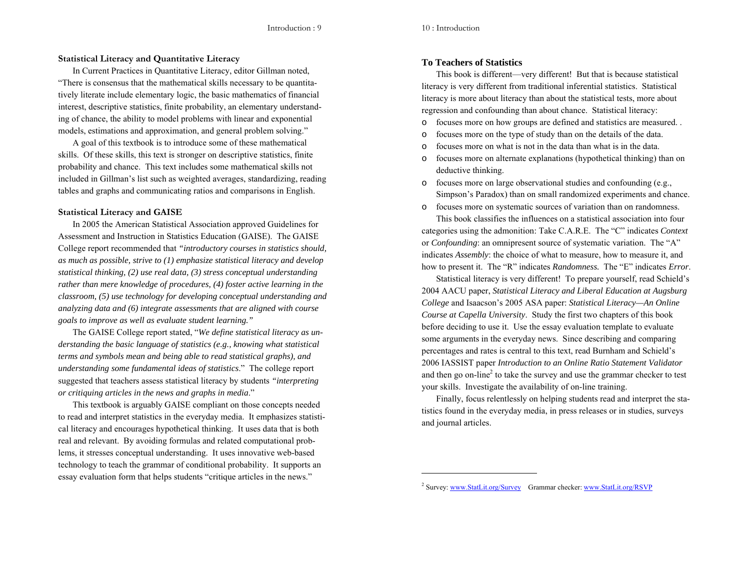### **Statistical Literacy and Quantitative Literacy**

In Current Practices in Quantitative Literacy, editor Gillman noted, "There is consensus that the mathematical skills necessary to be quantitatively literate include elementary logic, the basic mathematics of financial interest, descriptive statistics, finite probability, an elementary understanding of chance, the ability to model problems with linear and exponential models, estimations and approximation, and general problem solving."

A goal of this textbook is to introduce some of these mathematical skills. Of these skills, this text is stronger on descriptive statistics, finite probability and chance. This text includes some mathematical skills not included in Gillman's list such as weighted averages, standardizing, reading tables and graphs and communicating ratios and comparisons in English.

#### **Statistical Literacy and GAISE**

In 2005 the American Statistical Association approved Guidelines for Assessment and Instruction in Statistics Education (GAISE). The GAISE College report recommended that *"introductory courses in statistics should, as much as possible, strive to (1) emphasize statistical literacy and develop statistical thinking, (2) use real data, (3) stress conceptual understanding rather than mere knowledge of procedures, (4) foster active learning in the classroom, (5) use technology for developing conceptual understanding and analyzing data and (6) integrate assessments that are aligned with course goals to improve as well as evaluate student learning."*

The GAISE College report stated, "*We define statistical literacy as understanding the basic language of statistics (e.g., knowing what statistical terms and symbols mean and being able to read statistical graphs), and understanding some fundamental ideas of statistics*." The college report suggested that teachers assess statistical literacy by students *"interpreting or critiquing articles in the news and graphs in media*."

This textbook is arguably GAISE compliant on those concepts needed to read and interpret statistics in the everyday media. It emphasizes statistical literacy and encourages hypothetical thinking. It uses data that is both real and relevant. By avoiding formulas and related computational problems, it stresses conceptual understanding. It uses innovative web-based technology to teach the grammar of conditional probability. It supports an essay evaluation form that helps students "critique articles in the news."

# **To Teachers of Statistics**

This book is different—very different! But that is because statistical literacy is very different from traditional inferential statistics. Statistical literacy is more about literacy than about the statistical tests, more about regression and confounding than about chance. Statistical literacy:

- ofocuses more on how groups are defined and statistics are measured. .
- ofocuses more on the type of study than on the details of the data.
- ofocuses more on what is not in the data than what is in the data.
- o focuses more on alternate explanations (hypothetical thinking) than on deductive thinking.
- o focuses more on large observational studies and confounding (e.g., Simpson's Paradox) than on small randomized experiments and chance.
- o focuses more on systematic sources of variation than on randomness.

This book classifies the influences on a statistical association into four categories using the admonition: Take C.A.R.E. The "C" indicates *Context*  or *Confounding*: an omnipresent source of systematic variation. The "A" indicates *Assembly*: the choice of what to measure, how to measure it, and how to present it. The "R" indicates *Randomness.* The "E" indicates *Error*.

Statistical literacy is very different! To prepare yourself, read Schield's 2004 AACU paper, *Statistical Literacy and Liberal Education at Augsburg College* and Isaacson's 2005 ASA paper: *Statistical Literacy—An Online Course at Capella University*. Study the first two chapters of this book before deciding to use it. Use the essay evaluation template to evaluate some arguments in the everyday news. Since describing and comparing percentages and rates is central to this text, read Burnham and Schield's 2006 IASSIST paper *Introduction to an Online Ratio Statement Validator*  and then go on-line<sup>2</sup> to take the survey and use the grammar checker to test your skills. Investigate the availability of on-line training.

Finally, focus relentlessly on helping students read and interpret the statistics found in the everyday media, in press releases or in studies, surveys and journal articles.

<sup>&</sup>lt;sup>2</sup> Survey: www.StatLit.org/Survey Grammar checker: www.StatLit.org/RSVP